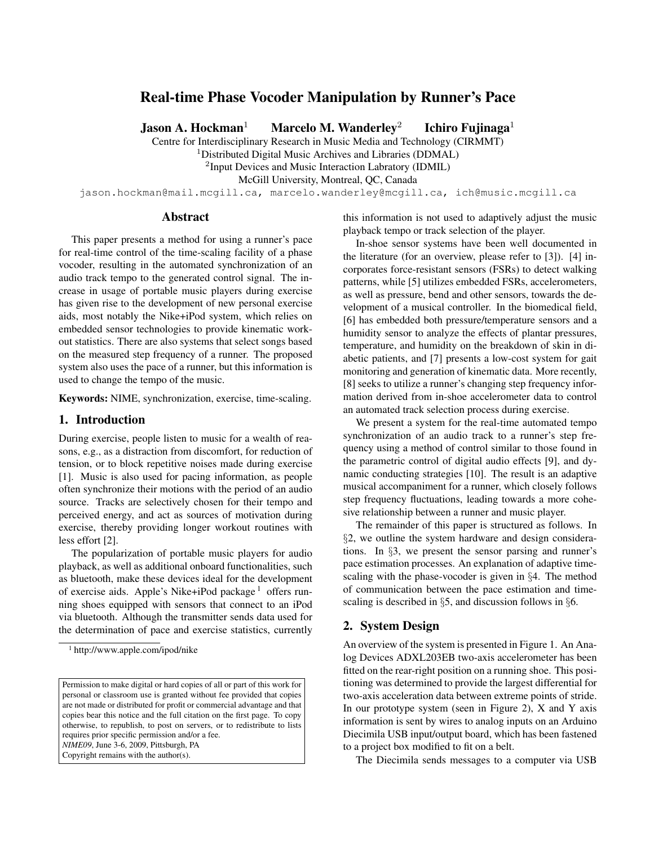# Real-time Phase Vocoder Manipulation by Runner's Pace

**Jason A. Hockman**<sup>1</sup> Marcelo M. Wanderley<sup>2</sup> Ichiro Fujinaga<sup>1</sup>

Centre for Interdisciplinary Research in Music Media and Technology (CIRMMT)

<sup>1</sup>Distributed Digital Music Archives and Libraries (DDMAL)

<sup>2</sup>Input Devices and Music Interaction Labratory (IDMIL)

McGill University, Montreal, QC, Canada

jason.hockman@mail.mcgill.ca, marcelo.wanderley@mcgill.ca, ich@music.mcgill.ca

## Abstract

This paper presents a method for using a runner's pace for real-time control of the time-scaling facility of a phase vocoder, resulting in the automated synchronization of an audio track tempo to the generated control signal. The increase in usage of portable music players during exercise has given rise to the development of new personal exercise aids, most notably the Nike+iPod system, which relies on embedded sensor technologies to provide kinematic workout statistics. There are also systems that select songs based on the measured step frequency of a runner. The proposed system also uses the pace of a runner, but this information is used to change the tempo of the music.

Keywords: NIME, synchronization, exercise, time-scaling.

#### 1. Introduction

During exercise, people listen to music for a wealth of reasons, e.g., as a distraction from discomfort, for reduction of tension, or to block repetitive noises made during exercise [1]. Music is also used for pacing information, as people often synchronize their motions with the period of an audio source. Tracks are selectively chosen for their tempo and perceived energy, and act as sources of motivation during exercise, thereby providing longer workout routines with less effort [2].

The popularization of portable music players for audio playback, as well as additional onboard functionalities, such as bluetooth, make these devices ideal for the development of exercise aids. Apple's Nike+iPod package<sup>1</sup> offers running shoes equipped with sensors that connect to an iPod via bluetooth. Although the transmitter sends data used for the determination of pace and exercise statistics, currently

this information is not used to adaptively adjust the music playback tempo or track selection of the player.

In-shoe sensor systems have been well documented in the literature (for an overview, please refer to [3]). [4] incorporates force-resistant sensors (FSRs) to detect walking patterns, while [5] utilizes embedded FSRs, accelerometers, as well as pressure, bend and other sensors, towards the development of a musical controller. In the biomedical field, [6] has embedded both pressure/temperature sensors and a humidity sensor to analyze the effects of plantar pressures, temperature, and humidity on the breakdown of skin in diabetic patients, and [7] presents a low-cost system for gait monitoring and generation of kinematic data. More recently, [8] seeks to utilize a runner's changing step frequency information derived from in-shoe accelerometer data to control an automated track selection process during exercise.

We present a system for the real-time automated tempo synchronization of an audio track to a runner's step frequency using a method of control similar to those found in the parametric control of digital audio effects [9], and dynamic conducting strategies [10]. The result is an adaptive musical accompaniment for a runner, which closely follows step frequency fluctuations, leading towards a more cohesive relationship between a runner and music player.

The remainder of this paper is structured as follows. In §2, we outline the system hardware and design considerations. In §3, we present the sensor parsing and runner's pace estimation processes. An explanation of adaptive timescaling with the phase-vocoder is given in §4. The method of communication between the pace estimation and timescaling is described in §5, and discussion follows in §6.

## 2. System Design

An overview of the system is presented in Figure 1. An Analog Devices ADXL203EB two-axis accelerometer has been fitted on the rear-right position on a running shoe. This positioning was determined to provide the largest differential for two-axis acceleration data between extreme points of stride. In our prototype system (seen in Figure 2),  $X$  and  $Y$  axis information is sent by wires to analog inputs on an Arduino Diecimila USB input/output board, which has been fastened to a project box modified to fit on a belt.

The Diecimila sends messages to a computer via USB

<sup>1</sup> http://www.apple.com/ipod/nike

Permission to make digital or hard copies of all or part of this work for personal or classroom use is granted without fee provided that copies are not made or distributed for profit or commercial advantage and that copies bear this notice and the full citation on the first page. To copy otherwise, to republish, to post on servers, or to redistribute to lists requires prior specific permission and/or a fee. *NIME09*, June 3-6, 2009, Pittsburgh, PA Copyright remains with the author(s).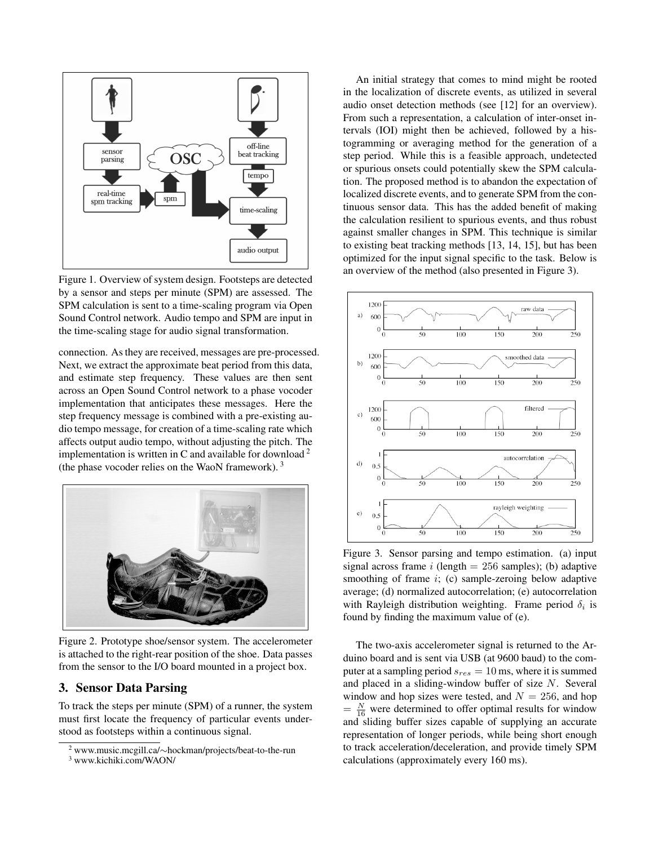

Figure 1. Overview of system design. Footsteps are detected by a sensor and steps per minute (SPM) are assessed. The SPM calculation is sent to a time-scaling program via Open Sound Control network. Audio tempo and SPM are input in the time-scaling stage for audio signal transformation.

connection. As they are received, messages are pre-processed. Next, we extract the approximate beat period from this data, and estimate step frequency. These values are then sent across an Open Sound Control network to a phase vocoder implementation that anticipates these messages. Here the step frequency message is combined with a pre-existing audio tempo message, for creation of a time-scaling rate which affects output audio tempo, without adjusting the pitch. The implementation is written in C and available for download  $2^2$ (the phase vocoder relies on the WaoN framework). <sup>3</sup>



Figure 2. Prototype shoe/sensor system. The accelerometer is attached to the right-rear position of the shoe. Data passes from the sensor to the I/O board mounted in a project box.

#### 3. Sensor Data Parsing

To track the steps per minute (SPM) of a runner, the system must first locate the frequency of particular events understood as footsteps within a continuous signal.

An initial strategy that comes to mind might be rooted in the localization of discrete events, as utilized in several audio onset detection methods (see [12] for an overview). From such a representation, a calculation of inter-onset intervals (IOI) might then be achieved, followed by a histogramming or averaging method for the generation of a step period. While this is a feasible approach, undetected or spurious onsets could potentially skew the SPM calculation. The proposed method is to abandon the expectation of localized discrete events, and to generate SPM from the continuous sensor data. This has the added benefit of making the calculation resilient to spurious events, and thus robust against smaller changes in SPM. This technique is similar to existing beat tracking methods [13, 14, 15], but has been optimized for the input signal specific to the task. Below is an overview of the method (also presented in Figure 3).



Figure 3. Sensor parsing and tempo estimation. (a) input signal across frame i (length  $= 256$  samples); (b) adaptive smoothing of frame  $i$ ; (c) sample-zeroing below adaptive average; (d) normalized autocorrelation; (e) autocorrelation with Rayleigh distribution weighting. Frame period  $\delta_i$  is found by finding the maximum value of (e).

The two-axis accelerometer signal is returned to the Arduino board and is sent via USB (at 9600 baud) to the computer at a sampling period s*res* = 10 ms, where it is summed and placed in a sliding-window buffer of size N. Several window and hop sizes were tested, and  $N = 256$ , and hop  $= \frac{N}{16}$  were determined to offer optimal results for window and sliding buffer sizes capable of supplying an accurate representation of longer periods, while being short enough to track acceleration/deceleration, and provide timely SPM calculations (approximately every 160 ms).

<sup>2</sup> www.music.mcgill.ca/∼hockman/projects/beat-to-the-run <sup>3</sup> www.kichiki.com/WAON/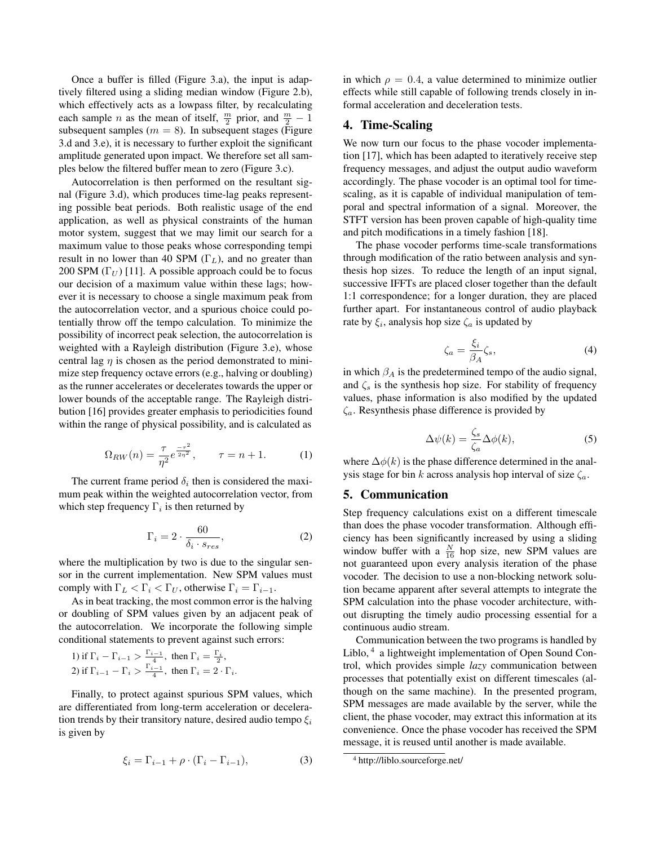Once a buffer is filled (Figure 3.a), the input is adaptively filtered using a sliding median window (Figure 2.b), which effectively acts as a lowpass filter, by recalculating each sample *n* as the mean of itself,  $\frac{m}{2}$  prior, and  $\frac{m}{2} - 1$ subsequent samples ( $m = 8$ ). In subsequent stages (Figure 3.d and 3.e), it is necessary to further exploit the significant amplitude generated upon impact. We therefore set all samples below the filtered buffer mean to zero (Figure 3.c).

Autocorrelation is then performed on the resultant signal (Figure 3.d), which produces time-lag peaks representing possible beat periods. Both realistic usage of the end application, as well as physical constraints of the human motor system, suggest that we may limit our search for a maximum value to those peaks whose corresponding tempi result in no lower than 40 SPM (Γ*L*), and no greater than 200 SPM  $(\Gamma_U)$  [11]. A possible approach could be to focus our decision of a maximum value within these lags; however it is necessary to choose a single maximum peak from the autocorrelation vector, and a spurious choice could potentially throw off the tempo calculation. To minimize the possibility of incorrect peak selection, the autocorrelation is weighted with a Rayleigh distribution (Figure 3.e), whose central lag  $\eta$  is chosen as the period demonstrated to minimize step frequency octave errors (e.g., halving or doubling) as the runner accelerates or decelerates towards the upper or lower bounds of the acceptable range. The Rayleigh distribution [16] provides greater emphasis to periodicities found within the range of physical possibility, and is calculated as

$$
\Omega_{RW}(n) = \frac{\tau}{\eta^2} e^{\frac{-\tau^2}{2\eta^2}}, \qquad \tau = n + 1. \tag{1}
$$

The current frame period  $\delta_i$  then is considered the maximum peak within the weighted autocorrelation vector, from which step frequency Γ*<sup>i</sup>* is then returned by

$$
\Gamma_i = 2 \cdot \frac{60}{\delta_i \cdot s_{res}},\tag{2}
$$

where the multiplication by two is due to the singular sensor in the current implementation. New SPM values must comply with  $\Gamma_L < \Gamma_i < \Gamma_U$ , otherwise  $\Gamma_i = \Gamma_{i-1}$ .

As in beat tracking, the most common error is the halving or doubling of SPM values given by an adjacent peak of the autocorrelation. We incorporate the following simple conditional statements to prevent against such errors:

1) if 
$$
\Gamma_i - \Gamma_{i-1} > \frac{\Gamma_{i-1}}{4}
$$
, then  $\Gamma_i = \frac{\Gamma_i}{2}$ ,  
2) if  $\Gamma_{i-1} - \Gamma_i > \frac{\Gamma_{i-1}}{4}$ , then  $\Gamma_i = 2 \cdot \Gamma_i$ .

Finally, to protect against spurious SPM values, which are differentiated from long-term acceleration or deceleration trends by their transitory nature, desired audio tempo ξ*<sup>i</sup>* is given by

$$
\xi_i = \Gamma_{i-1} + \rho \cdot (\Gamma_i - \Gamma_{i-1}), \tag{3}
$$

in which  $\rho = 0.4$ , a value determined to minimize outlier effects while still capable of following trends closely in informal acceleration and deceleration tests.

## 4. Time-Scaling

We now turn our focus to the phase vocoder implementation [17], which has been adapted to iteratively receive step frequency messages, and adjust the output audio waveform accordingly. The phase vocoder is an optimal tool for timescaling, as it is capable of individual manipulation of temporal and spectral information of a signal. Moreover, the STFT version has been proven capable of high-quality time and pitch modifications in a timely fashion [18].

The phase vocoder performs time-scale transformations through modification of the ratio between analysis and synthesis hop sizes. To reduce the length of an input signal, successive IFFTs are placed closer together than the default 1:1 correspondence; for a longer duration, they are placed further apart. For instantaneous control of audio playback rate by  $\xi_i$ , analysis hop size  $\zeta_a$  is updated by

$$
\zeta_a = \frac{\xi_i}{\beta_A} \zeta_s,\tag{4}
$$

in which  $\beta_A$  is the predetermined tempo of the audio signal, and  $\zeta_s$  is the synthesis hop size. For stability of frequency values, phase information is also modified by the updated ζ*a*. Resynthesis phase difference is provided by

$$
\Delta\psi(k) = \frac{\zeta_s}{\zeta_a} \Delta\phi(k),\tag{5}
$$

where  $\Delta\phi(k)$  is the phase difference determined in the analysis stage for bin k across analysis hop interval of size  $\zeta_a$ .

#### 5. Communication

Step frequency calculations exist on a different timescale than does the phase vocoder transformation. Although efficiency has been significantly increased by using a sliding window buffer with a  $\frac{N}{16}$  hop size, new SPM values are not guaranteed upon every analysis iteration of the phase vocoder. The decision to use a non-blocking network solution became apparent after several attempts to integrate the SPM calculation into the phase vocoder architecture, without disrupting the timely audio processing essential for a continuous audio stream.

Communication between the two programs is handled by Liblo, <sup>4</sup> a lightweight implementation of Open Sound Control, which provides simple *lazy* communication between processes that potentially exist on different timescales (although on the same machine). In the presented program, SPM messages are made available by the server, while the client, the phase vocoder, may extract this information at its convenience. Once the phase vocoder has received the SPM message, it is reused until another is made available.

<sup>4</sup> http://liblo.sourceforge.net/